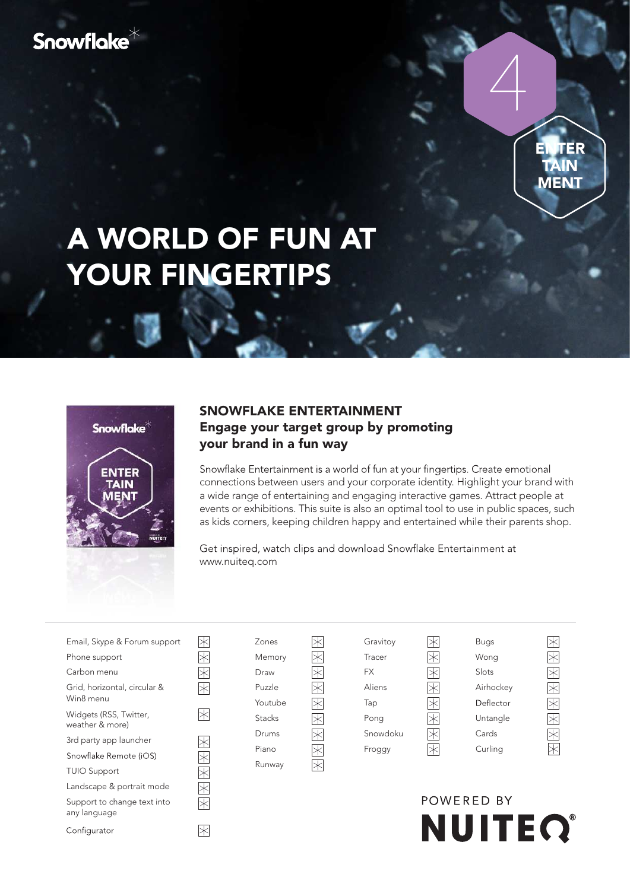# Snowflake\*



# A WORLD OF FUN AT YOUR FINGERTIPS

 $\overline{\mathbb{R}}$ 



Configurator

### SNOWFLAKE ENTERTAINMENT Engage your target group by promoting your brand in a fun way

Snowflake Entertainment is a world of fun at your fingertips. Create emotional connections between users and your corporate identity. Highlight your brand with a wide range of entertaining and engaging interactive games. Attract people at events or exhibitions. This suite is also an optimal tool to use in public spaces, such as kids corners, keeping children happy and entertained while their parents shop.

Get inspired, watch clips and download Snowflake Entertainment at www.nuiteq.com

| Email, Skype & Forum support              | Ж                                                                                                                                                                                                                                                                                                                                                                                                    | Zones         | Gravitoy  | ⋉                                                                                                                                                                                                                          | <b>Bugs</b> | $\times$                                                                                                                                                                                                                                                                                                                                                                                             |
|-------------------------------------------|------------------------------------------------------------------------------------------------------------------------------------------------------------------------------------------------------------------------------------------------------------------------------------------------------------------------------------------------------------------------------------------------------|---------------|-----------|----------------------------------------------------------------------------------------------------------------------------------------------------------------------------------------------------------------------------|-------------|------------------------------------------------------------------------------------------------------------------------------------------------------------------------------------------------------------------------------------------------------------------------------------------------------------------------------------------------------------------------------------------------------|
| Phone support                             | $\hspace{0.1mm}\hspace{0.1mm}\hspace{0.1mm}\hspace{0.1mm}\hspace{0.1mm}\hspace{0.1mm}\hspace{0.1mm}\hspace{0.1mm}\hspace{0.1mm}\hspace{0.1mm}\hspace{0.1mm}\hspace{0.1mm}\hspace{0.1mm}\hspace{0.1mm}\hspace{0.1mm}\hspace{0.1mm}\hspace{0.1mm}\hspace{0.1mm}\hspace{0.1mm}\hspace{0.1mm}\hspace{0.1mm}\hspace{0.1mm}\hspace{0.1mm}\hspace{0.1mm}\hspace{0.1mm}\hspace{0.1mm}\hspace{0.1mm}\hspace{$ | Memory        | Tracer    | $\Join$                                                                                                                                                                                                                    | Wong        | $\Join$                                                                                                                                                                                                                                                                                                                                                                                              |
| Carbon menu                               | Ж                                                                                                                                                                                                                                                                                                                                                                                                    | Draw          | <b>FX</b> | $\Join$                                                                                                                                                                                                                    | Slots       | $\hspace{0.1mm}\hspace{0.1mm}\hspace{0.1mm}\hspace{0.1mm}\hspace{0.1mm}\hspace{0.1mm}\hspace{0.1mm}\hspace{0.1mm}\hspace{0.1mm}\hspace{0.1mm}\hspace{0.1mm}\hspace{0.1mm}\hspace{0.1mm}\hspace{0.1mm}\hspace{0.1mm}\hspace{0.1mm}\hspace{0.1mm}\hspace{0.1mm}\hspace{0.1mm}\hspace{0.1mm}\hspace{0.1mm}\hspace{0.1mm}\hspace{0.1mm}\hspace{0.1mm}\hspace{0.1mm}\hspace{0.1mm}\hspace{0.1mm}\hspace{$ |
| Grid, horizontal, circular &              | $\overline{\times}$                                                                                                                                                                                                                                                                                                                                                                                  | Puzzle        | Aliens    | $\hspace{0.1mm}\hspace{0.1mm}\hspace{0.1mm}\hspace{0.1mm}\hspace{0.1mm}\hspace{0.1mm}\hspace{0.1mm}\hspace{0.1mm}\hspace{0.1mm}\hspace{0.1mm}\hspace{0.1mm}\hspace{0.1mm}\hspace{0.1mm}\hspace{0.1mm}\times\hspace{0.1mm}$ | Airhockey   | $\Join$                                                                                                                                                                                                                                                                                                                                                                                              |
| Win8 menu                                 |                                                                                                                                                                                                                                                                                                                                                                                                      | Youtube       | Tap       | $\times$                                                                                                                                                                                                                   | Deflector   | $\hspace{0.1mm}\hspace{0.1mm}\hspace{0.1mm}\hspace{0.1mm}\hspace{0.1mm}\hspace{0.1mm}\hspace{0.1mm}\hspace{0.1mm}\hspace{0.1mm}\hspace{0.1mm}\hspace{0.1mm}\hspace{0.1mm}\hspace{0.1mm}\hspace{0.1mm}\hspace{0.1mm}\hspace{0.1mm}\hspace{0.1mm}\hspace{0.1mm}\hspace{0.1mm}\hspace{0.1mm}\hspace{0.1mm}\hspace{0.1mm}\hspace{0.1mm}\hspace{0.1mm}\hspace{0.1mm}\hspace{0.1mm}\hspace{0.1mm}\hspace{$ |
| Widgets (RSS, Twitter,<br>weather & more) | $\mathbb R$                                                                                                                                                                                                                                                                                                                                                                                          | <b>Stacks</b> | Pong      | $\Join$                                                                                                                                                                                                                    | Untangle    | $\overline{\times}$                                                                                                                                                                                                                                                                                                                                                                                  |
| 3rd party app launcher                    | $\mathbb R$                                                                                                                                                                                                                                                                                                                                                                                          | Drums         | Snowdoku  | $\Join$                                                                                                                                                                                                                    | Cards       | $\overline{\ast}$                                                                                                                                                                                                                                                                                                                                                                                    |
| Snowflake Remote (iOS)                    | $\overline{\times}$                                                                                                                                                                                                                                                                                                                                                                                  | Piano         | Froggy    | $\Join$                                                                                                                                                                                                                    | Curling     | $\hspace{0.1mm}\times$                                                                                                                                                                                                                                                                                                                                                                               |
| <b>TUIO Support</b>                       | $\overline{\times}$                                                                                                                                                                                                                                                                                                                                                                                  | Runway        |           |                                                                                                                                                                                                                            |             |                                                                                                                                                                                                                                                                                                                                                                                                      |
| Landscape & portrait mode                 | $\overline{\times}$                                                                                                                                                                                                                                                                                                                                                                                  |               |           |                                                                                                                                                                                                                            |             |                                                                                                                                                                                                                                                                                                                                                                                                      |
| Support to change text into               | $\Join$                                                                                                                                                                                                                                                                                                                                                                                              |               |           |                                                                                                                                                                                                                            | POWERED BY  |                                                                                                                                                                                                                                                                                                                                                                                                      |
| any language                              |                                                                                                                                                                                                                                                                                                                                                                                                      |               |           |                                                                                                                                                                                                                            |             |                                                                                                                                                                                                                                                                                                                                                                                                      |

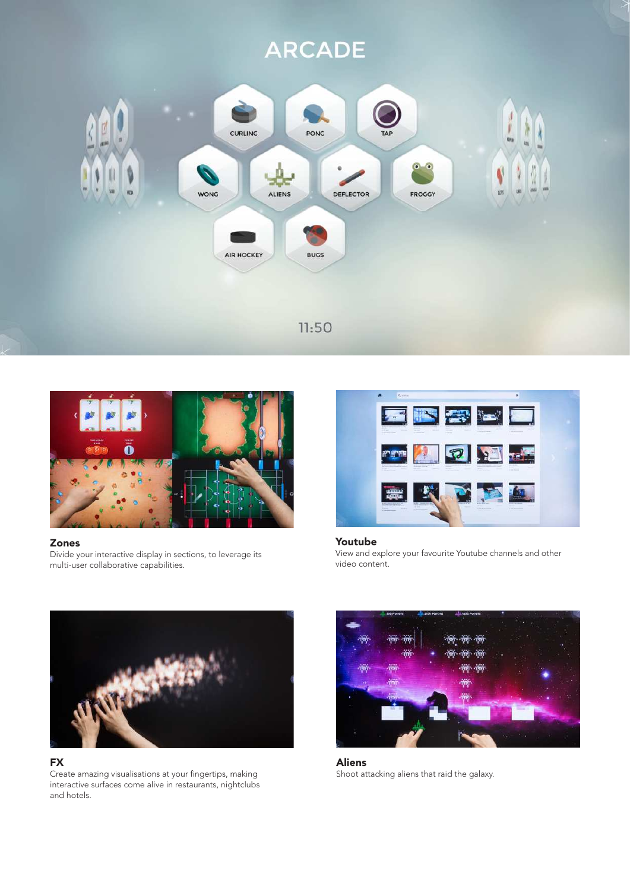



#### Zones

Divide your interactive display in sections, to leverage its multi-user collaborative capabilities.



#### Youtube View and explore your favourite Youtube channels and other video content.



#### FX

Create amazing visualisations at your fingertips, making interactive surfaces come alive in restaurants, nightclubs and hotels.



Aliens Shoot attacking aliens that raid the galaxy.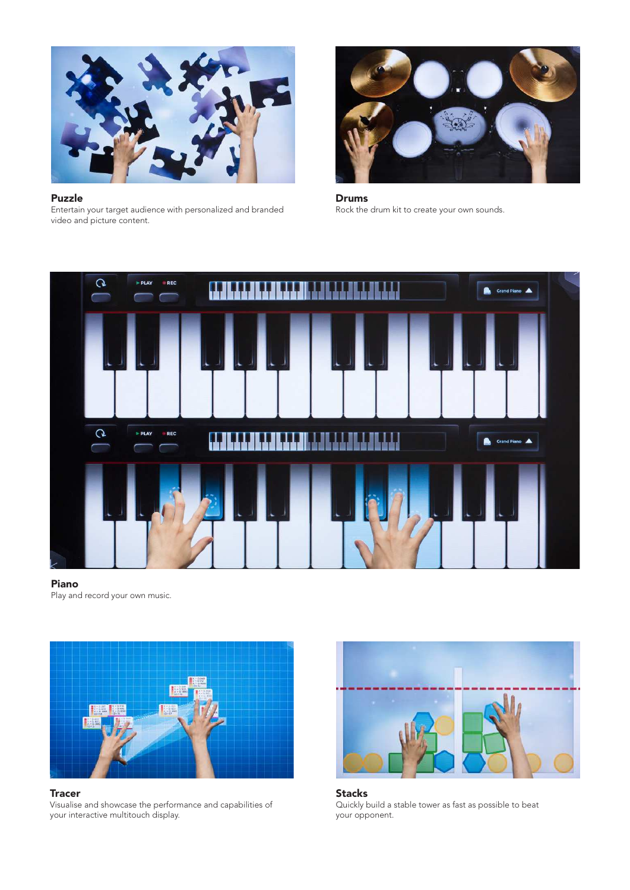

Puzzle Entertain your target audience with personalized and branded video and picture content.



Drums Rock the drum kit to create your own sounds.



#### Piano Play and record your own music.



**Tracer** 

Visualise and showcase the performance and capabilities of your interactive multitouch display.



Stacks Quickly build a stable tower as fast as possible to beat your opponent.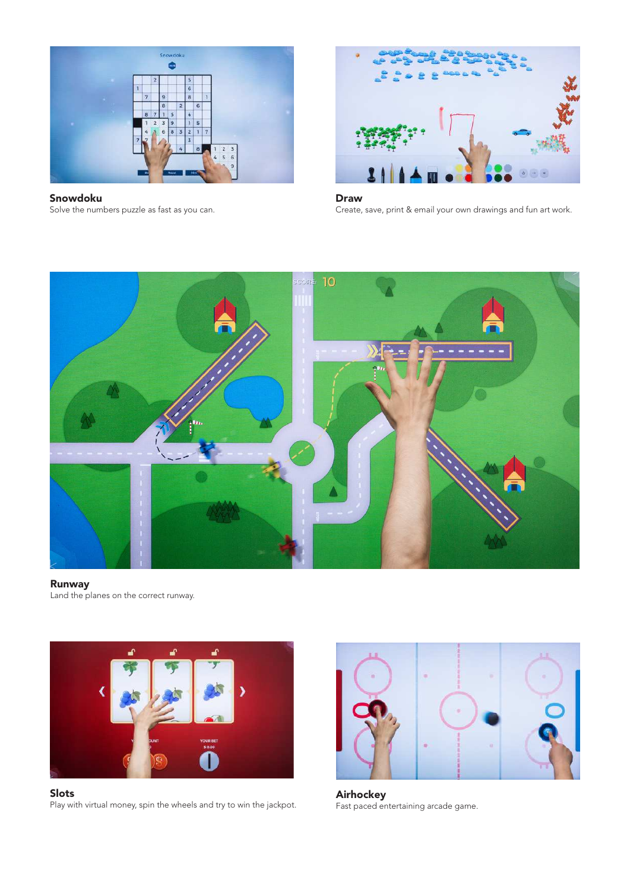

Snowdoku Solve the numbers puzzle as fast as you can.



Draw Create, save, print & email your own drawings and fun art work.



#### Runway

Land the planes on the correct runway.



Slots Play with virtual money, spin the wheels and try to win the jackpot.



Airhockey Fast paced entertaining arcade game.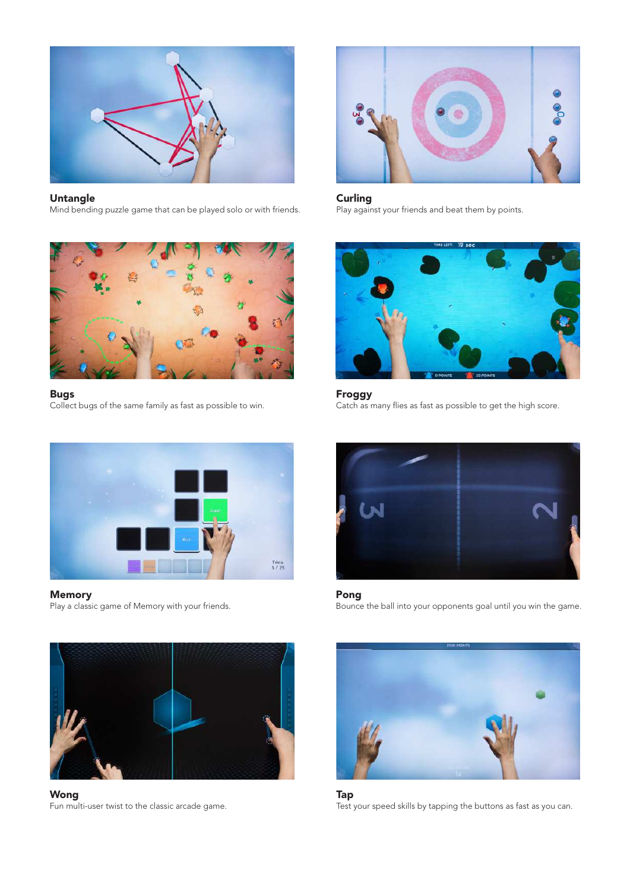

#### Untangle

Mind bending puzzle game that can be played solo or with friends.



#### Bugs

Collect bugs of the same family as fast as possible to win.



## Memory

Play a classic game of Memory with your friends.



Wong Fun multi-user twist to the classic arcade game.



**Curling** Play against your friends and beat them by points.



#### Froggy

Catch as many flies as fast as possible to get the high score.



Pong Bounce the ball into your opponents goal until you win the game.



Tap Test your speed skills by tapping the buttons as fast as you can.